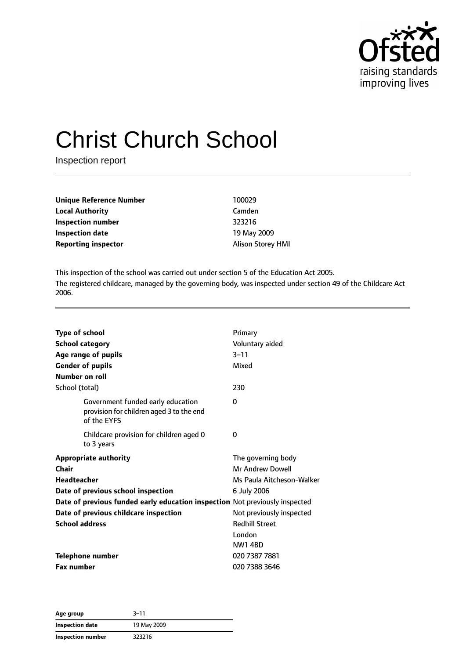

# Christ Church School

Inspection report

| Unique Reference Number    | 100029                   |
|----------------------------|--------------------------|
| <b>Local Authority</b>     | Camden                   |
| <b>Inspection number</b>   | 323216                   |
| <b>Inspection date</b>     | 19 May 2009              |
| <b>Reporting inspector</b> | <b>Alison Storey HMI</b> |

This inspection of the school was carried out under section 5 of the Education Act 2005. The registered childcare, managed by the governing body, was inspected under section 49 of the Childcare Act 2006.

| <b>Type of school</b><br><b>School category</b><br>Age range of pupils<br><b>Gender of pupils</b><br>Number on roll | Primary<br>Voluntary aided<br>$3 - 11$<br>Mixed                            |
|---------------------------------------------------------------------------------------------------------------------|----------------------------------------------------------------------------|
| School (total)                                                                                                      | 230                                                                        |
| Government funded early education<br>provision for children aged 3 to the end<br>of the EYFS                        | 0                                                                          |
| Childcare provision for children aged 0<br>to 3 years                                                               | 0                                                                          |
| <b>Appropriate authority</b><br>Chair<br>Headteacher                                                                | The governing body<br><b>Mr Andrew Dowell</b><br>Ms Paula Aitcheson-Walker |
| Date of previous school inspection                                                                                  | 6 July 2006                                                                |
| Date of previous funded early education inspection Not previously inspected                                         |                                                                            |
| Date of previous childcare inspection                                                                               | Not previously inspected                                                   |
| <b>School address</b>                                                                                               | <b>Redhill Street</b>                                                      |
|                                                                                                                     | London                                                                     |
|                                                                                                                     | <b>NW1 4BD</b>                                                             |
| <b>Telephone number</b>                                                                                             | 020 7387 7881                                                              |
| <b>Fax number</b>                                                                                                   | 020 7388 3646                                                              |

| Age group         | 3–11        |
|-------------------|-------------|
| Inspection date   | 19 May 2009 |
| Inspection number | 323216      |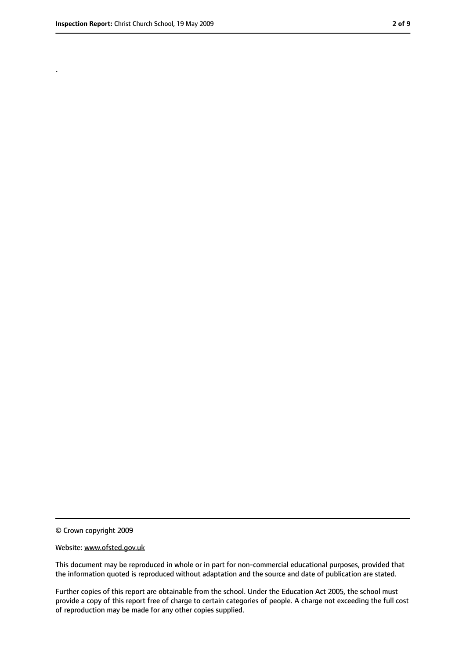.

<sup>©</sup> Crown copyright 2009

Website: www.ofsted.gov.uk

This document may be reproduced in whole or in part for non-commercial educational purposes, provided that the information quoted is reproduced without adaptation and the source and date of publication are stated.

Further copies of this report are obtainable from the school. Under the Education Act 2005, the school must provide a copy of this report free of charge to certain categories of people. A charge not exceeding the full cost of reproduction may be made for any other copies supplied.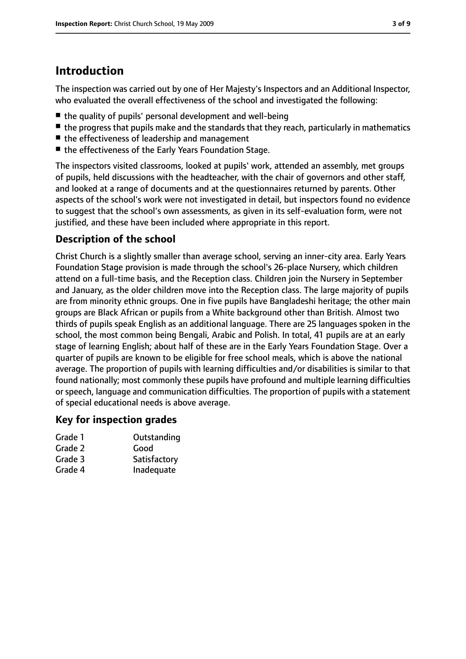## **Introduction**

The inspection was carried out by one of Her Majesty's Inspectors and an Additional Inspector, who evaluated the overall effectiveness of the school and investigated the following:

- the quality of pupils' personal development and well-being
- $\blacksquare$  the progress that pupils make and the standards that they reach, particularly in mathematics
- the effectiveness of leadership and management
- the effectiveness of the Early Years Foundation Stage.

The inspectors visited classrooms, looked at pupils' work, attended an assembly, met groups of pupils, held discussions with the headteacher, with the chair of governors and other staff, and looked at a range of documents and at the questionnaires returned by parents. Other aspects of the school's work were not investigated in detail, but inspectors found no evidence to suggest that the school's own assessments, as given in its self-evaluation form, were not justified, and these have been included where appropriate in this report.

#### **Description of the school**

Christ Church is a slightly smaller than average school, serving an inner-city area. Early Years Foundation Stage provision is made through the school's 26-place Nursery, which children attend on a full-time basis, and the Reception class. Children join the Nursery in September and January, as the older children move into the Reception class. The large majority of pupils are from minority ethnic groups. One in five pupils have Bangladeshi heritage; the other main groups are Black African or pupils from a White background other than British. Almost two thirds of pupils speak English as an additional language. There are 25 languages spoken in the school, the most common being Bengali, Arabic and Polish. In total, 41 pupils are at an early stage of learning English; about half of these are in the Early Years Foundation Stage. Over a quarter of pupils are known to be eligible for free school meals, which is above the national average. The proportion of pupils with learning difficulties and/or disabilities is similar to that found nationally; most commonly these pupils have profound and multiple learning difficulties or speech, language and communication difficulties. The proportion of pupils with a statement of special educational needs is above average.

#### **Key for inspection grades**

| Grade 1 | Outstanding  |
|---------|--------------|
| Grade 2 | Good         |
| Grade 3 | Satisfactory |
| Grade 4 | Inadequate   |
|         |              |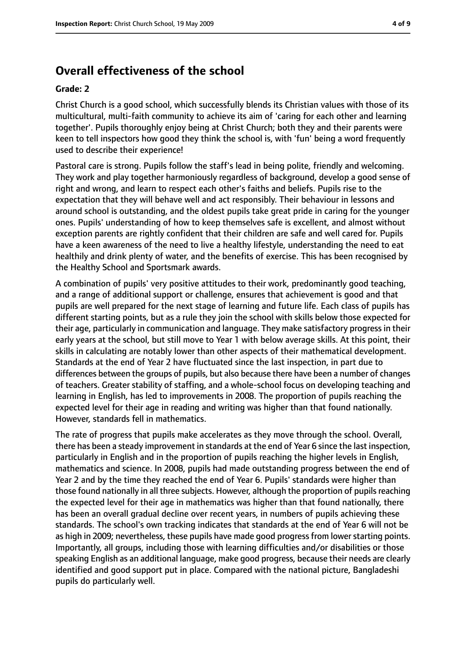## **Overall effectiveness of the school**

#### **Grade: 2**

Christ Church is a good school, which successfully blends its Christian values with those of its multicultural, multi-faith community to achieve its aim of 'caring for each other and learning together'. Pupils thoroughly enjoy being at Christ Church; both they and their parents were keen to tell inspectors how good they think the school is, with 'fun' being a word frequently used to describe their experience!

Pastoral care is strong. Pupils follow the staff's lead in being polite, friendly and welcoming. They work and play together harmoniously regardless of background, develop a good sense of right and wrong, and learn to respect each other's faiths and beliefs. Pupils rise to the expectation that they will behave well and act responsibly. Their behaviour in lessons and around school is outstanding, and the oldest pupils take great pride in caring for the younger ones. Pupils' understanding of how to keep themselves safe is excellent, and almost without exception parents are rightly confident that their children are safe and well cared for. Pupils have a keen awareness of the need to live a healthy lifestyle, understanding the need to eat healthily and drink plenty of water, and the benefits of exercise. This has been recognised by the Healthy School and Sportsmark awards.

A combination of pupils' very positive attitudes to their work, predominantly good teaching, and a range of additional support or challenge, ensures that achievement is good and that pupils are well prepared for the next stage of learning and future life. Each class of pupils has different starting points, but as a rule they join the school with skills below those expected for their age, particularly in communication and language. They make satisfactory progress in their early years at the school, but still move to Year 1 with below average skills. At this point, their skills in calculating are notably lower than other aspects of their mathematical development. Standards at the end of Year 2 have fluctuated since the last inspection, in part due to differences between the groups of pupils, but also because there have been a number of changes of teachers. Greater stability of staffing, and a whole-school focus on developing teaching and learning in English, has led to improvements in 2008. The proportion of pupils reaching the expected level for their age in reading and writing was higher than that found nationally. However, standards fell in mathematics.

The rate of progress that pupils make accelerates as they move through the school. Overall, there has been a steady improvement in standards at the end of Year 6 since the last inspection, particularly in English and in the proportion of pupils reaching the higher levels in English, mathematics and science. In 2008, pupils had made outstanding progress between the end of Year 2 and by the time they reached the end of Year 6. Pupils' standards were higher than those found nationally in all three subjects. However, although the proportion of pupils reaching the expected level for their age in mathematics was higher than that found nationally, there has been an overall gradual decline over recent years, in numbers of pupils achieving these standards. The school's own tracking indicates that standards at the end of Year 6 will not be as high in 2009; nevertheless, these pupils have made good progress from lower starting points. Importantly, all groups, including those with learning difficulties and/or disabilities or those speaking English as an additional language, make good progress, because their needs are clearly identified and good support put in place. Compared with the national picture, Bangladeshi pupils do particularly well.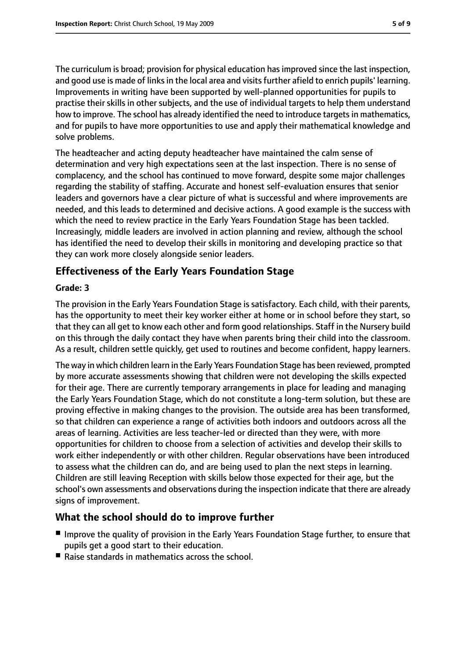The curriculum is broad; provision for physical education has improved since the last inspection, and good use is made of links in the local area and visits further afield to enrich pupils' learning. Improvements in writing have been supported by well-planned opportunities for pupils to practise their skills in other subjects, and the use of individual targets to help them understand how to improve. The school has already identified the need to introduce targets in mathematics, and for pupils to have more opportunities to use and apply their mathematical knowledge and solve problems.

The headteacher and acting deputy headteacher have maintained the calm sense of determination and very high expectations seen at the last inspection. There is no sense of complacency, and the school has continued to move forward, despite some major challenges regarding the stability of staffing. Accurate and honest self-evaluation ensures that senior leaders and governors have a clear picture of what is successful and where improvements are needed, and this leads to determined and decisive actions. A good example is the success with which the need to review practice in the Early Years Foundation Stage has been tackled. Increasingly, middle leaders are involved in action planning and review, although the school has identified the need to develop their skills in monitoring and developing practice so that they can work more closely alongside senior leaders.

#### **Effectiveness of the Early Years Foundation Stage**

#### **Grade: 3**

The provision in the Early Years Foundation Stage is satisfactory. Each child, with their parents, has the opportunity to meet their key worker either at home or in school before they start, so that they can all get to know each other and form good relationships. Staff in the Nursery build on this through the daily contact they have when parents bring their child into the classroom. As a result, children settle quickly, get used to routines and become confident, happy learners.

The way in which children learn in the Early Years Foundation Stage has been reviewed, prompted by more accurate assessments showing that children were not developing the skills expected for their age. There are currently temporary arrangements in place for leading and managing the Early Years Foundation Stage, which do not constitute a long-term solution, but these are proving effective in making changes to the provision. The outside area has been transformed, so that children can experience a range of activities both indoors and outdoors across all the areas of learning. Activities are less teacher-led or directed than they were, with more opportunities for children to choose from a selection of activities and develop their skills to work either independently or with other children. Regular observations have been introduced to assess what the children can do, and are being used to plan the next steps in learning. Children are still leaving Reception with skills below those expected for their age, but the school's own assessments and observations during the inspection indicate that there are already signs of improvement.

#### **What the school should do to improve further**

- Improve the quality of provision in the Early Years Foundation Stage further, to ensure that pupils get a good start to their education.
- Raise standards in mathematics across the school.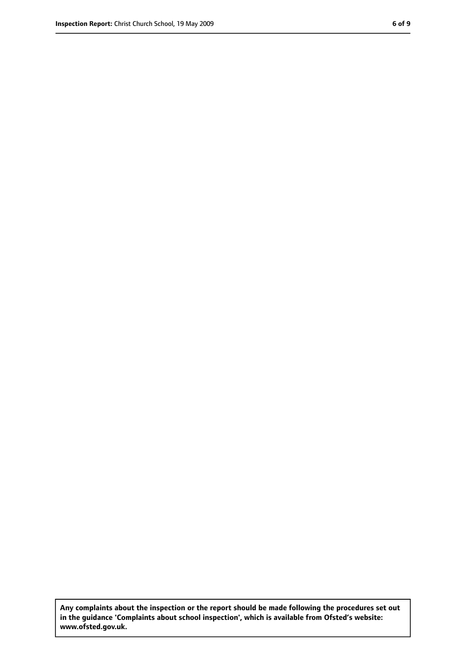**Any complaints about the inspection or the report should be made following the procedures set out in the guidance 'Complaints about school inspection', which is available from Ofsted's website: www.ofsted.gov.uk.**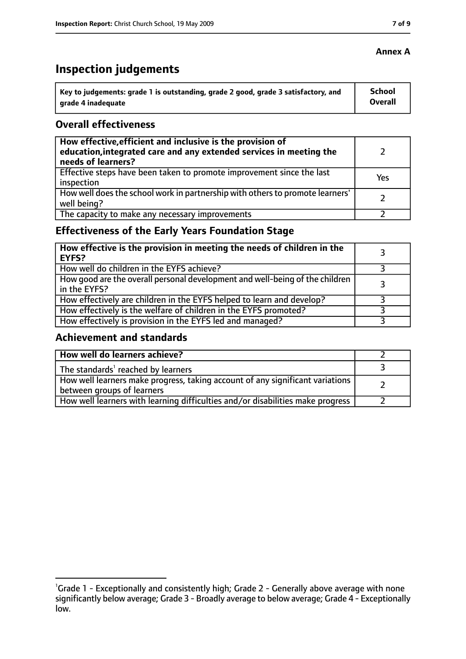# **Inspection judgements**

| $^{\backprime}$ Key to judgements: grade 1 is outstanding, grade 2 good, grade 3 satisfactory, and | <b>School</b>  |
|----------------------------------------------------------------------------------------------------|----------------|
| arade 4 inadequate                                                                                 | <b>Overall</b> |

#### **Overall effectiveness**

| How effective, efficient and inclusive is the provision of<br>education, integrated care and any extended services in meeting the<br>needs of learners? |     |
|---------------------------------------------------------------------------------------------------------------------------------------------------------|-----|
| Effective steps have been taken to promote improvement since the last<br>inspection                                                                     | Yes |
| How well does the school work in partnership with others to promote learners'<br>well being?                                                            |     |
| The capacity to make any necessary improvements                                                                                                         |     |

### **Effectiveness of the Early Years Foundation Stage**

| How effective is the provision in meeting the needs of children in the<br>EYFS?              |   |
|----------------------------------------------------------------------------------------------|---|
| How well do children in the EYFS achieve?                                                    |   |
| How good are the overall personal development and well-being of the children<br>in the EYFS? | 3 |
| How effectively are children in the EYFS helped to learn and develop?                        |   |
| How effectively is the welfare of children in the EYFS promoted?                             |   |
| How effectively is provision in the EYFS led and managed?                                    |   |

#### **Achievement and standards**

| How well do learners achieve?                                                  |  |
|--------------------------------------------------------------------------------|--|
| $\vert$ The standards <sup>1</sup> reached by learners                         |  |
| How well learners make progress, taking account of any significant variations  |  |
| between groups of learners                                                     |  |
| How well learners with learning difficulties and/or disabilities make progress |  |

#### **Annex A**

<sup>&</sup>lt;sup>1</sup>Grade 1 - Exceptionally and consistently high; Grade 2 - Generally above average with none significantly below average; Grade 3 - Broadly average to below average; Grade 4 - Exceptionally low.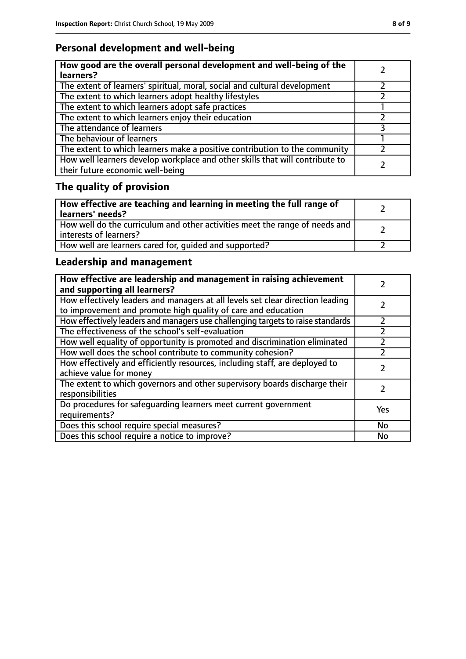## **Personal development and well-being**

| How good are the overall personal development and well-being of the<br>learners?                                 |  |
|------------------------------------------------------------------------------------------------------------------|--|
| The extent of learners' spiritual, moral, social and cultural development                                        |  |
| The extent to which learners adopt healthy lifestyles                                                            |  |
| The extent to which learners adopt safe practices                                                                |  |
| The extent to which learners enjoy their education                                                               |  |
| The attendance of learners                                                                                       |  |
| The behaviour of learners                                                                                        |  |
| The extent to which learners make a positive contribution to the community                                       |  |
| How well learners develop workplace and other skills that will contribute to<br>their future economic well-being |  |

# **The quality of provision**

| How effective are teaching and learning in meeting the full range of<br>learners' needs?              |  |
|-------------------------------------------------------------------------------------------------------|--|
| How well do the curriculum and other activities meet the range of needs and<br>interests of learners? |  |
| How well are learners cared for, quided and supported?                                                |  |

## **Leadership and management**

| How effective are leadership and management in raising achievement<br>and supporting all learners?                                              |     |
|-------------------------------------------------------------------------------------------------------------------------------------------------|-----|
| How effectively leaders and managers at all levels set clear direction leading<br>to improvement and promote high quality of care and education |     |
| How effectively leaders and managers use challenging targets to raise standards                                                                 |     |
| The effectiveness of the school's self-evaluation                                                                                               |     |
| How well equality of opportunity is promoted and discrimination eliminated                                                                      |     |
| How well does the school contribute to community cohesion?                                                                                      |     |
| How effectively and efficiently resources, including staff, are deployed to<br>achieve value for money                                          |     |
| The extent to which governors and other supervisory boards discharge their<br>responsibilities                                                  |     |
| Do procedures for safeguarding learners meet current government<br>requirements?                                                                | Yes |
| Does this school require special measures?                                                                                                      | No  |
| Does this school require a notice to improve?                                                                                                   | No  |